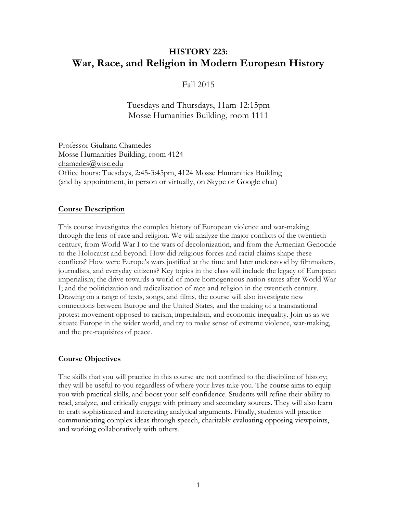# **HISTORY 223: War, Race, and Religion in Modern European History**

## Fall 2015

## Tuesdays and Thursdays, 11am-12:15pm Mosse Humanities Building, room 1111

Professor Giuliana Chamedes Mosse Humanities Building, room 4124 chamedes@wisc.edu Office hours: Tuesdays, 2:45-3:45pm, 4124 Mosse Humanities Building (and by appointment, in person or virtually, on Skype or Google chat)

#### **Course Description**

This course investigates the complex history of European violence and war-making through the lens of race and religion. We will analyze the major conflicts of the twentieth century, from World War I to the wars of decolonization, and from the Armenian Genocide to the Holocaust and beyond. How did religious forces and racial claims shape these conflicts? How were Europe's wars justified at the time and later understood by filmmakers, journalists, and everyday citizens? Key topics in the class will include the legacy of European imperialism; the drive towards a world of more homogeneous nation-states after World War I; and the politicization and radicalization of race and religion in the twentieth century. Drawing on a range of texts, songs, and films, the course will also investigate new connections between Europe and the United States, and the making of a transnational protest movement opposed to racism, imperialism, and economic inequality. Join us as we situate Europe in the wider world, and try to make sense of extreme violence, war-making, and the pre-requisites of peace.

### **Course Objectives**

The skills that you will practice in this course are not confined to the discipline of history; they will be useful to you regardless of where your lives take you. The course aims to equip you with practical skills, and boost your self-confidence. Students will refine their ability to read, analyze, and critically engage with primary and secondary sources. They will also learn to craft sophisticated and interesting analytical arguments. Finally, students will practice communicating complex ideas through speech, charitably evaluating opposing viewpoints, and working collaboratively with others.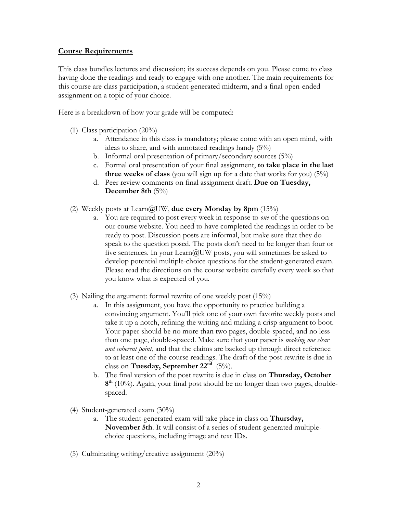### **Course Requirements**

This class bundles lectures and discussion; its success depends on you. Please come to class having done the readings and ready to engage with one another. The main requirements for this course are class participation, a student-generated midterm, and a final open-ended assignment on a topic of your choice.

Here is a breakdown of how your grade will be computed:

- (1) Class participation (20%)
	- a. Attendance in this class is mandatory; please come with an open mind, with ideas to share, and with annotated readings handy (5%)
	- b. Informal oral presentation of primary/secondary sources (5%)
	- c. Formal oral presentation of your final assignment, **to take place in the last three weeks of class** (you will sign up for a date that works for you) (5%)
	- d. Peer review comments on final assignment draft. **Due on Tuesday, December 8th** (5%)
- (2) Weekly posts at Learn@UW, **due every Monday by 8pm** (15%)
	- a. You are required to post every week in response to *one* of the questions on our course website. You need to have completed the readings in order to be ready to post. Discussion posts are informal, but make sure that they do speak to the question posed. The posts don't need to be longer than four or five sentences. In your Learn@UW posts, you will sometimes be asked to develop potential multiple-choice questions for the student-generated exam. Please read the directions on the course website carefully every week so that you know what is expected of you.
- (3) Nailing the argument: formal rewrite of one weekly post (15%)
	- a. In this assignment, you have the opportunity to practice building a convincing argument. You'll pick one of your own favorite weekly posts and take it up a notch, refining the writing and making a crisp argument to boot. Your paper should be no more than two pages, double-spaced, and no less than one page, double-spaced. Make sure that your paper is *making one clear and coherent point*, and that the claims are backed up through direct reference to at least one of the course readings. The draft of the post rewrite is due in class on **Tuesday, September 22<sup>nd</sup>** (5%).
	- b. The final version of the post rewrite is due in class on **Thursday, October 8th** (10%). Again, your final post should be no longer than two pages, doublespaced.
- (4) Student-generated exam (30%)
	- a. The student-generated exam will take place in class on **Thursday, November 5th**. It will consist of a series of student-generated multiplechoice questions, including image and text IDs.
- (5) Culminating writing/creative assignment (20%)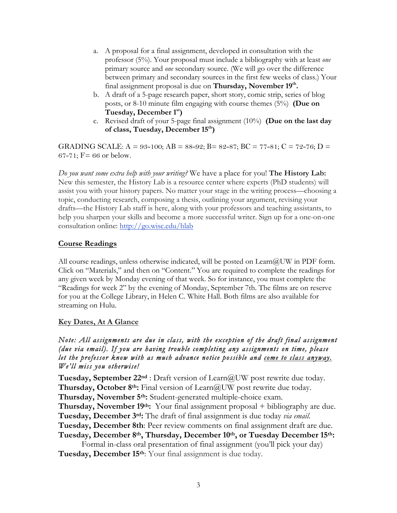- a. A proposal for a final assignment, developed in consultation with the professor (5%). Your proposal must include a bibliography with at least *one*  primary source and *one* secondary source. (We will go over the difference between primary and secondary sources in the first few weeks of class.) Your final assignment proposal is due on **Thursday, November 19th.**
- b. A draft of a 5-page research paper, short story, comic strip, series of blog posts, or 8-10 minute film engaging with course themes (5%) **(Due on Tuesday, December 1st)**
- c. Revised draft of your 5-page final assignment (10%) **(Due on the last day of class, Tuesday, December 15th)**

GRADING SCALE:  $A = 93-100$ ;  $AB = 88-92$ ;  $B = 82-87$ ;  $BC = 77-81$ ;  $C = 72-76$ ;  $D =$ 67-71;  $F = 66$  or below.

*Do you want some extra help with your writing?* We have a place for you! **The History Lab:**  New this semester, the History Lab is a resource center where experts (PhD students) will assist you with your history papers. No matter your stage in the writing process—choosing a topic, conducting research, composing a thesis, outlining your argument, revising your drafts—the History Lab staff is here, along with your professors and teaching assistants, to help you sharpen your skills and become a more successful writer. Sign up for a one-on-one consultation online: http://go.wisc.edu/hlab

## **Course Readings**

All course readings, unless otherwise indicated, will be posted on  $Learn@UW$  in PDF form. Click on "Materials," and then on "Content." You are required to complete the readings for any given week by Monday evening of that week. So for instance, you must complete the "Readings for week 2" by the evening of Monday, September 7th. The films are on reserve for you at the College Library, in Helen C. White Hall. Both films are also available for streaming on Hulu.

## **Key Dates, At A Glance**

## *Note: All assignments are due in class, with the exception of the draft final assignment (due via email). If you are having trouble completing any assignments on time, please let the professor know with as much advance notice possible and come to class anyway. We'll miss you otherwise!*

**Tuesday, September 22<sup>nd</sup>** : Draft version of Learn@UW post rewrite due today. **Thursday, October 8th:** Final version of Learn@UW post rewrite due today. **Thursday, November 5th:** Student-generated multiple-choice exam. **Thursday, November 19th:** Your final assignment proposal + bibliography are due. **Tuesday, December 3rd:** The draft of final assignment is due today *via email*. **Tuesday, December 8th**: Peer review comments on final assignment draft are due. **Tuesday, December 8th, Thursday, December 10th, or Tuesday December 15th:**

Formal in-class oral presentation of final assignment (you'll pick your day) **Tuesday, December 15th**: Your final assignment is due today.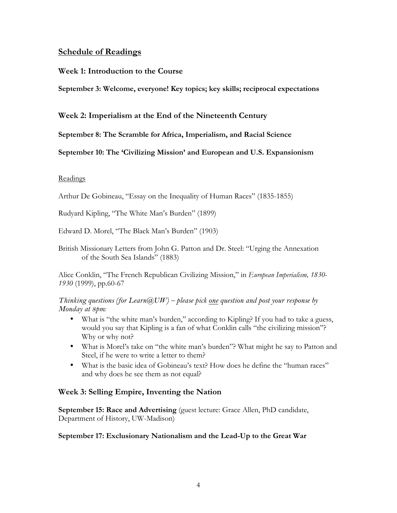## **Schedule of Readings**

## **Week 1: Introduction to the Course**

**September 3: Welcome, everyone! Key topics; key skills; reciprocal expectations**

**Week 2: Imperialism at the End of the Nineteenth Century**

**September 8: The Scramble for Africa, Imperialism, and Racial Science** 

**September 10: The 'Civilizing Mission' and European and U.S. Expansionism**

### Readings

Arthur De Gobineau, "Essay on the Inequality of Human Races" (1835-1855)

Rudyard Kipling, "The White Man's Burden" (1899)

Edward D. Morel, "The Black Man's Burden" (1903)

British Missionary Letters from John G. Patton and Dr. Steel: "Urging the Annexation of the South Sea Islands" (1883)

Alice Conklin, "The French Republican Civilizing Mission," in *European Imperialism, 1830- 1930* (1999), pp.60-67

*Thinking questions (for Learn@UW) – please pick one question and post your response by Monday at 8pm:* 

- What is "the white man's burden," according to Kipling? If you had to take a guess, would you say that Kipling is a fan of what Conklin calls "the civilizing mission"? Why or why not?
- What is Morel's take on "the white man's burden"? What might he say to Patton and Steel, if he were to write a letter to them?
- What is the basic idea of Gobineau's text? How does he define the "human races" and why does he see them as not equal?

## **Week 3: Selling Empire, Inventing the Nation**

**September 15: Race and Advertising** (guest lecture: Grace Allen, PhD candidate, Department of History, UW-Madison)

### **September 17: Exclusionary Nationalism and the Lead-Up to the Great War**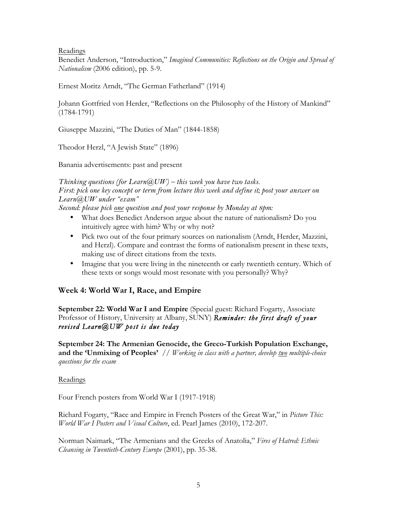Readings

Benedict Anderson, "Introduction," *Imagined Communities: Reflections on the Origin and Spread of Nationalism* (2006 edition), pp. 5-9.

Ernest Moritz Arndt, "The German Fatherland" (1914)

Johann Gottfried von Herder, "Reflections on the Philosophy of the History of Mankind" (1784-1791)

Giuseppe Mazzini, "The Duties of Man" (1844-1858)

Theodor Herzl, "A Jewish State" (1896)

Banania advertisements: past and present

*Thinking questions (for Learn@UW) – this week you have two tasks. First: pick one key concept or term from lecture this week and define it; post your answer on Learn@UW under "exam"*

*Second: please pick one question and post your response by Monday at 8pm:* 

- What does Benedict Anderson argue about the nature of nationalism? Do you intuitively agree with him? Why or why not?
- Pick two out of the four primary sources on nationalism (Arndt, Herder, Mazzini, and Herzl). Compare and contrast the forms of nationalism present in these texts, making use of direct citations from the texts.
- Imagine that you were living in the nineteenth or early twentieth century. Which of these texts or songs would most resonate with you personally? Why?

## **Week 4: World War I, Race, and Empire**

**September 22: World War I and Empire** (Special guest: Richard Fogarty, Associate Professor of History, University at Albany, SUNY) *Reminder: the first draft of your revised Learn@UW post is due today*

**September 24: The Armenian Genocide, the Greco-Turkish Population Exchange, and the 'Unmixing of Peoples'** // *Working in class with a partner, develop two multiple-choice questions for the exam*

### Readings

Four French posters from World War I (1917-1918)

Richard Fogarty, "Race and Empire in French Posters of the Great War," in *Picture This: World War I Posters and Visual Culture*, ed. Pearl James (2010), 172-207.

Norman Naimark, "The Armenians and the Greeks of Anatolia," *Fires of Hatred: Ethnic Cleansing in Twentieth-Century Europe* (2001), pp. 35-38.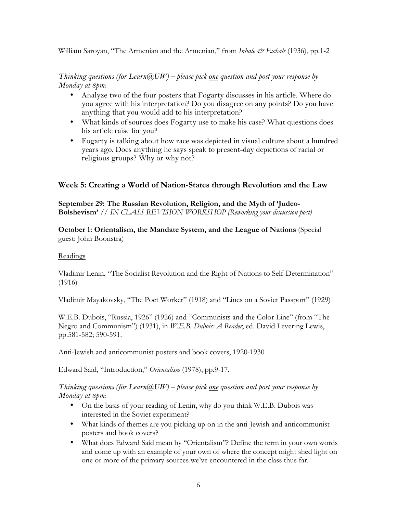William Saroyan, "The Armenian and the Armenian," from *Inhale & Exhale* (1936), pp.1-2

#### *Thinking questions (for Learn@UW) – please pick one question and post your response by Monday at 8pm:*

- Analyze two of the four posters that Fogarty discusses in his article. Where do you agree with his interpretation? Do you disagree on any points? Do you have anything that you would add to his interpretation?
- What kinds of sources does Fogarty use to make his case? What questions does his article raise for you?
- Fogarty is talking about how race was depicted in visual culture about a hundred years ago. Does anything he says speak to present-day depictions of racial or religious groups? Why or why not?

## **Week 5: Creating a World of Nation-States through Revolution and the Law**

**September 29: The Russian Revolution, Religion, and the Myth of 'Judeo-Bolshevism'** // *IN-CLASS REVISION WORKSHOP (Reworking your discussion post)* 

## **October 1: Orientalism, the Mandate System, and the League of Nations** (Special guest: John Boonstra)

## Readings

Vladimir Lenin, "The Socialist Revolution and the Right of Nations to Self-Determination" (1916)

Vladimir Mayakovsky, "The Poet Worker" (1918) and "Lines on a Soviet Passport" (1929)

W.E.B. Dubois, "Russia, 1926" (1926) and "Communists and the Color Line" (from "The Negro and Communism") (1931), in *W.E.B. Dubois: A Reader*, ed. David Levering Lewis, pp.581-582; 590-591.

Anti-Jewish and anticommunist posters and book covers, 1920-1930

Edward Said, "Introduction," *Orientalism* (1978), pp.9-17.

## *Thinking questions (for Learn@UW) – please pick one question and post your response by Monday at 8pm:*

- On the basis of your reading of Lenin, why do you think W.E.B. Dubois was interested in the Soviet experiment?
- What kinds of themes are you picking up on in the anti-Jewish and anticommunist posters and book covers?
- What does Edward Said mean by "Orientalism"? Define the term in your own words and come up with an example of your own of where the concept might shed light on one or more of the primary sources we've encountered in the class thus far.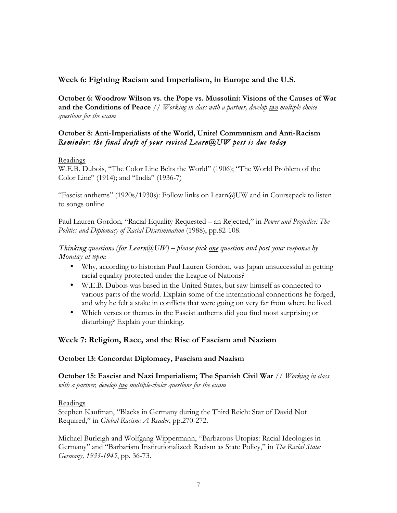## **Week 6: Fighting Racism and Imperialism, in Europe and the U.S.**

**October 6: Woodrow Wilson vs. the Pope vs. Mussolini: Visions of the Causes of War and the Conditions of Peace** // *Working in class with a partner, develop two multiple-choice questions for the exam*

## **October 8: Anti-Imperialists of the World, Unite! Communism and Anti-Racism** *Reminder: the final draft of your revised Learn@UW post is due today*

#### Readings

W.E.B. Dubois, "The Color Line Belts the World" (1906); "The World Problem of the Color Line" (1914); and "India" (1936-7)

"Fascist anthems" (1920s/1930s): Follow links on Learn@UW and in Coursepack to listen to songs online

Paul Lauren Gordon, "Racial Equality Requested – an Rejected," in *Power and Prejudice: The Politics and Diplomacy of Racial Discrimination* (1988), pp.82-108.

### *Thinking questions (for Learn@UW) – please pick one question and post your response by Monday at 8pm:*

- Why, according to historian Paul Lauren Gordon, was Japan unsuccessful in getting racial equality protected under the League of Nations?
- W.E.B. Dubois was based in the United States, but saw himself as connected to various parts of the world. Explain some of the international connections he forged, and why he felt a stake in conflicts that were going on very far from where he lived.
- Which verses or themes in the Fascist anthems did you find most surprising or disturbing? Explain your thinking.

## **Week 7: Religion, Race, and the Rise of Fascism and Nazism**

### **October 13: Concordat Diplomacy, Fascism and Nazism**

**October 15: Fascist and Nazi Imperialism; The Spanish Civil War** // *Working in class with a partner, develop two multiple-choice questions for the exam*

#### Readings

Stephen Kaufman, "Blacks in Germany during the Third Reich: Star of David Not Required," in *Global Racism: A Reader*, pp.270-272.

Michael Burleigh and Wolfgang Wippermann, "Barbarous Utopias: Racial Ideologies in Germany" and "Barbarism Institutionalized: Racism as State Policy," in *The Racial State: Germany, 1933-1945*, pp. 36-73.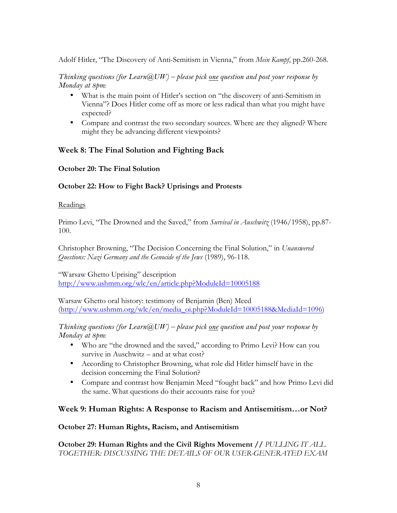Adolf Hitler, "The Discovery of Anti-Semitism in Vienna," from *Mein Kampf*, pp.260-268.

*Thinking questions (for Learn@UW) – please pick one question and post your response by Monday at 8pm:* 

- What is the main point of Hitler's section on "the discovery of anti-Semitism in Vienna"? Does Hitler come off as more or less radical than what you might have expected?
- Compare and contrast the two secondary sources. Where are they aligned? Where might they be advancing different viewpoints?

## **Week 8: The Final Solution and Fighting Back**

## **October 20: The Final Solution**

## **October 22: How to Fight Back? Uprisings and Protests**

## Readings

Primo Levi, "The Drowned and the Saved," from *Survival in Auschwitz* (1946/1958), pp.87- 100.

Christopher Browning, "The Decision Concerning the Final Solution," in *Unanswered Questions: Nazi Germany and the Genocide of the Jews* (1989), 96-118.

"Warsaw Ghetto Uprising" description http://www.ushmm.org/wlc/en/article.php?ModuleId=10005188

Warsaw Ghetto oral history: testimony of Benjamin (Ben) Meed (http://www.ushmm.org/wlc/en/media\_oi.php?ModuleId=10005188&MediaId=1096)

*Thinking questions (for Learn@UW) – please pick one question and post your response by Monday at 8pm:* 

- Who are "the drowned and the saved," according to Primo Levi? How can you survive in Auschwitz – and at what cost?
- According to Christopher Browning, what role did Hitler himself have in the decision concerning the Final Solution?
- Compare and contrast how Benjamin Meed "fought back" and how Primo Levi did the same. What questions do their accounts raise for you?

## **Week 9: Human Rights: A Response to Racism and Antisemitism…or Not?**

## **October 27: Human Rights, Racism, and Antisemitism**

**October 29: Human Rights and the Civil Rights Movement //** *PULLING IT ALL TOGETHER: DISCUSSING THE DETAILS OF OUR USER-GENERATED EXAM*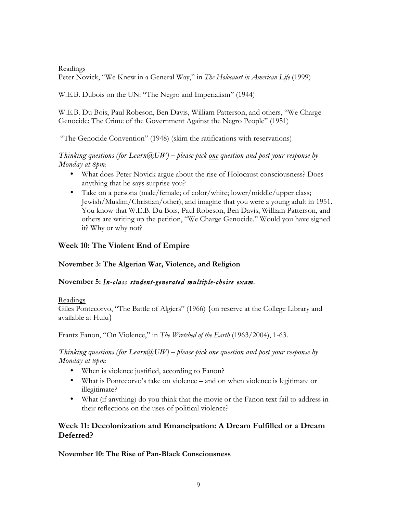Readings

Peter Novick, "We Knew in a General Way," in *The Holocaust in American Life* (1999)

W.E.B. Dubois on the UN: "The Negro and Imperialism" (1944)

W.E.B. Du Bois, Paul Robeson, Ben Davis, William Patterson, and others, "We Charge Genocide: The Crime of the Government Against the Negro People" (1951)

"The Genocide Convention" (1948) (skim the ratifications with reservations)

*Thinking questions (for Learn@UW) – please pick one question and post your response by Monday at 8pm:* 

- What does Peter Novick argue about the rise of Holocaust consciousness? Does anything that he says surprise you?
- Take on a persona (male/female; of color/white; lower/middle/upper class; Jewish/Muslim/Christian/other), and imagine that you were a young adult in 1951. You know that W.E.B. Du Bois, Paul Robeson, Ben Davis, William Patterson, and others are writing up the petition, "We Charge Genocide." Would you have signed it? Why or why not?

## **Week 10: The Violent End of Empire**

**November 3: The Algerian War, Violence, and Religion**

## **November 5:** *In-class student-generated multiple-choice exam.*

### Readings

Giles Pontecorvo, "The Battle of Algiers" (1966) {on reserve at the College Library and available at Hulu}

Frantz Fanon, "On Violence," in *The Wretched of the Earth* (1963/2004), 1-63.

## *Thinking questions (for Learn@UW) – please pick one question and post your response by Monday at 8pm:*

- When is violence justified, according to Fanon?
- What is Pontecorvo's take on violence and on when violence is legitimate or illegitimate?
- What (if anything) do you think that the movie or the Fanon text fail to address in their reflections on the uses of political violence?

## **Week 11: Decolonization and Emancipation: A Dream Fulfilled or a Dream Deferred?**

**November 10: The Rise of Pan-Black Consciousness**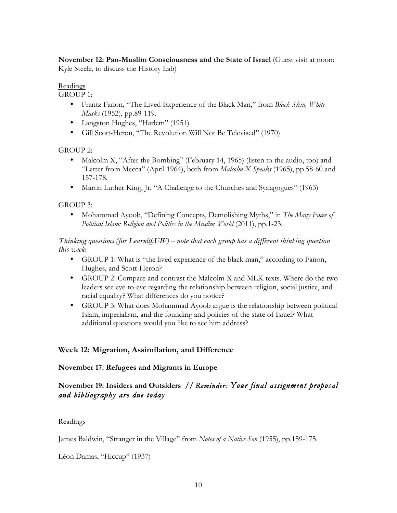**November 12: Pan-Muslim Consciousness and the State of Israel (Guest visit at noon:** Kyle Steele, to discuss the History Lab)

### Readings

GROUP 1:

- Frantz Fanon, "The Lived Experience of the Black Man," from *Black Skin, White Masks* (1952), pp.89-119.
- Langston Hughes, "Harlem" (1951)
- Gill Scott-Heron, "The Revolution Will Not Be Televised" (1970)

GROUP 2:

- Malcolm X, "After the Bombing" (February 14, 1965) (listen to the audio, too) and "Letter from Mecca" (April 1964), both from *Malcolm X Speaks* (1965), pp.58-60 and 157-178.
- Martin Luther King, Jr, "A Challenge to the Churches and Synagogues" (1963)

## GROUP 3:

• Mohammad Ayoob, "Defining Concepts, Demolishing Myths," in *The Many Faces of*  Political Islam: Religion and Politics in the Muslim World (2011), pp.1-23.

*Thinking questions (for Learn@UW) – note that each group has a different thinking question this week:* 

- GROUP 1: What is "the lived experience of the black man," according to Fanon, Hughes, and Scott-Heron?
- GROUP 2: Compare and contrast the Malcolm X and MLK texts. Where do the two leaders see eye-to-eye regarding the relationship between religion, social justice, and racial equality? What differences do you notice?
- GROUP 3: What does Mohammad Ayoob argue is the relationship between political Islam, imperialism, and the founding and policies of the state of Israel? What additional questions would you like to see him address?

## **Week 12: Migration, Assimilation, and Difference**

## **November 17: Refugees and Migrants in Europe**

## **November 19: Insiders and Outsiders //** *Reminder: Your final assignment proposal and bibliography are due today*

## Readings

James Baldwin, "Stranger in the Village" from *Notes of a Native Son* (1955), pp.159-175.

Léon Damas, "Hiccup" (1937)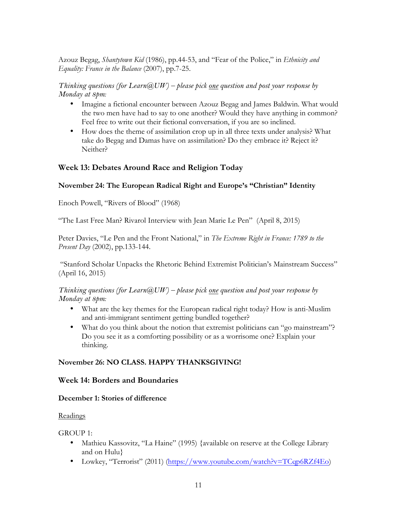Azouz Begag, *Shantytown Kid* (1986), pp.44-53, and "Fear of the Police," in *Ethnicity and Equality: France in the Balance* (2007), pp.7-25.

## *Thinking questions (for Learn@UW) – please pick one question and post your response by Monday at 8pm:*

- Imagine a fictional encounter between Azouz Begag and James Baldwin. What would the two men have had to say to one another? Would they have anything in common? Feel free to write out their fictional conversation, if you are so inclined.
- How does the theme of assimilation crop up in all three texts under analysis? What take do Begag and Damas have on assimilation? Do they embrace it? Reject it? Neither?

## **Week 13: Debates Around Race and Religion Today**

## **November 24: The European Radical Right and Europe's "Christian" Identity**

Enoch Powell, "Rivers of Blood" (1968)

"The Last Free Man? Rivarol Interview with Jean Marie Le Pen" (April 8, 2015)

Peter Davies, "Le Pen and the Front National," in *The Extreme Right in France: 1789 to the Present Day* (2002), pp.133-144.

"Stanford Scholar Unpacks the Rhetoric Behind Extremist Politician's Mainstream Success" (April 16, 2015)

*Thinking questions (for Learn@UW) – please pick one question and post your response by Monday at 8pm:* 

- What are the key themes for the European radical right today? How is anti-Muslim and anti-immigrant sentiment getting bundled together?
- What do you think about the notion that extremist politicians can "go mainstream"? Do you see it as a comforting possibility or as a worrisome one? Explain your thinking.

### **November 26: NO CLASS. HAPPY THANKSGIVING!**

### **Week 14: Borders and Boundaries**

### **December 1: Stories of difference**

### Readings

GROUP 1:

- Mathieu Kassovitz, "La Haine" (1995) {available on reserve at the College Library and on Hulu}
- Lowkey, "Terrorist" (2011) (https://www.youtube.com/watch?v=TCqp6RZf4Eo)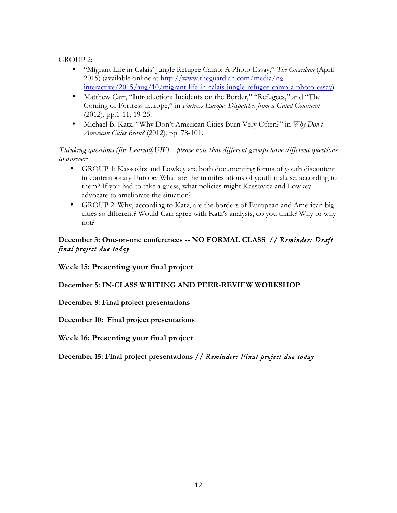GROUP 2:

- "Migrant Life in Calais' Jungle Refugee Camp: A Photo Essay," *The Guardian* (April 2015) (available online at http://www.theguardian.com/media/nginteractive/2015/aug/10/migrant-life-in-calais-jungle-refugee-camp-a-photo-essay)
- Matthew Carr, "Introduction: Incidents on the Border," "Refugees," and "The Coming of Fortress Europe," in *Fortress Europe: Dispatches from a Gated Continent* (2012), pp.1-11; 19-25.
- Michael B. Katz, "Why Don't American Cities Burn Very Often?" in *Why Don't American Cities Burn?* (2012), pp. 78-101.

*Thinking questions (for Learn@UW) – please note that different groups have different questions to answer:* 

- GROUP 1: Kassovitz and Lowkey are both documenting forms of youth discontent in contemporary Europe. What are the manifestations of youth malaise, according to them? If you had to take a guess, what policies might Kassovitz and Lowkey advocate to ameliorate the situation?
- GROUP 2: Why, according to Katz, are the borders of European and American big cities so different? Would Carr agree with Katz's analysis, do you think? Why or why not?

## **December 3: One-on-one conferences -- NO FORMAL CLASS //** *Reminder: Draft final project due today*

**Week 15: Presenting your final project**

**December 5: IN-CLASS WRITING AND PEER-REVIEW WORKSHOP**

**December 8: Final project presentations**

**December 10: Final project presentations**

**Week 16: Presenting your final project**

**December 15: Final project presentations //** *Reminder: Final project due today*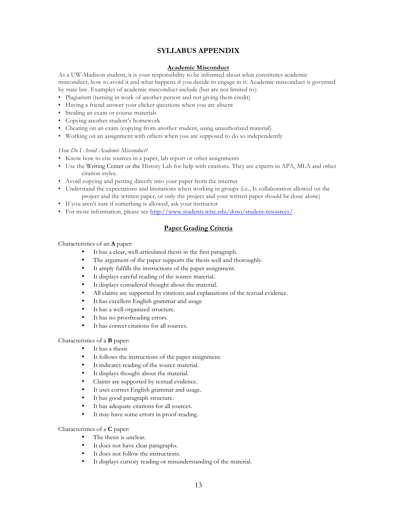#### **SYLLABUS APPENDIX**

#### **Academic Misconduct**

As a UW-Madison student, it is your responsibility to be informed about what constitutes academic misconduct, how to avoid it and what happens if you decide to engage in it. Academic misconduct is governed by state law. Examples of academic misconduct include (but are not limited to):

- Plagiarism (turning in work of another person and not giving them credit)
- Having a friend answer your clicker questions when you are absent
- Stealing an exam or course materials
- Copying another student's homework
- Cheating on an exam (copying from another student, using unauthorized material)
- Working on an assignment with others when you are supposed to do so independently

#### *How Do I Avoid Academic Misconduct?*

- Know how to cite sources in a paper, lab report or other assignments
- Use the Writing Center or the History Lab for help with citations. They are experts in APA, MLA and other citation styles.
- Avoid copying and pasting directly into your paper from the internet
- Understand the expectations and limitations when working in groups (i.e., Is collaboration allowed on the project and the written paper, or only the project and your written paper should be done alone)
- If you aren't sure if something is allowed, ask your instructor
- For more information, please see http://www.students.wisc.edu/doso/student-resources/

#### **Paper Grading Criteria**

#### Characteristics of an **A** paper:

- It has a clear, well-articulated thesis in the first paragraph.
- The argument of the paper supports the thesis well and thoroughly.
- It amply fulfills the instructions of the paper assignment.
- It displays careful reading of the source material.
- It displays considered thought about the material.
- All claims are supported by citations and explanations of the textual evidence.
- It has excellent English grammar and usage
- It has a well-organized structure.
- It has no proofreading errors.
- It has correct citations for all sources.

#### Characteristics of a **B** paper:

- It has a thesis
- It follows the instructions of the paper assignment.
- It indicates reading of the source material.
- It displays thought about the material.
- Claims are supported by textual evidence.
- It uses correct English grammar and usage.
- It has good paragraph structure.
- It has adequate citations for all sources.
- It may have some errors in proof-reading.

#### Characteristics of a **C** paper:

- The thesis is unclear.
- It does not have clear paragraphs.
- It does not follow the instructions.
- It displays cursory reading or misunderstanding of the material.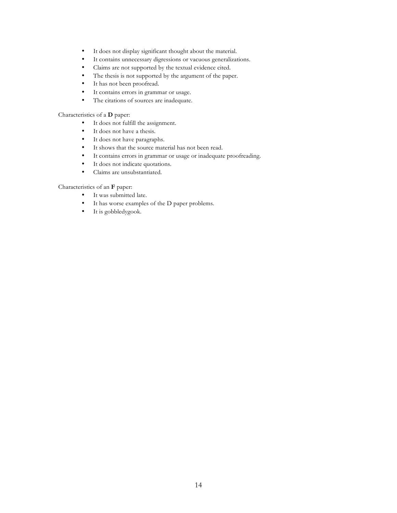- It does not display significant thought about the material.
- It contains unnecessary digressions or vacuous generalizations.
- Claims are not supported by the textual evidence cited.
- The thesis is not supported by the argument of the paper.
- It has not been proofread.
- It contains errors in grammar or usage.
- The citations of sources are inadequate.

#### Characteristics of a **D** paper:

- It does not fulfill the assignment.
- It does not have a thesis.<br>• It does not have paragraphy
- It does not have paragraphs.
- It shows that the source material has not been read.
- It contains errors in grammar or usage or inadequate proofreading.<br>• It does not indicate quotations.
- It does not indicate quotations.
- Claims are unsubstantiated.

#### Characteristics of an **F** paper:

- It was submitted late.
- It has worse examples of the D paper problems.
- It is gobbledygook.